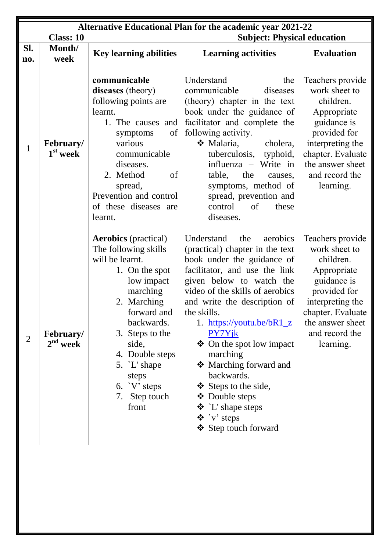|                | <b>Alternative Educational Plan for the academic year 2021-22</b><br><b>Class: 10</b><br><b>Subject: Physical education</b> |                                                                                                                                                                                                                                                                                  |                                                                                                                                                                                                                                                                                                                                                                                                                                                                                                                            |                                                                                                                                                                                          |  |
|----------------|-----------------------------------------------------------------------------------------------------------------------------|----------------------------------------------------------------------------------------------------------------------------------------------------------------------------------------------------------------------------------------------------------------------------------|----------------------------------------------------------------------------------------------------------------------------------------------------------------------------------------------------------------------------------------------------------------------------------------------------------------------------------------------------------------------------------------------------------------------------------------------------------------------------------------------------------------------------|------------------------------------------------------------------------------------------------------------------------------------------------------------------------------------------|--|
| SI.<br>no.     | Month/<br>week                                                                                                              | <b>Key learning abilities</b>                                                                                                                                                                                                                                                    | <b>Learning activities</b>                                                                                                                                                                                                                                                                                                                                                                                                                                                                                                 | <b>Evaluation</b>                                                                                                                                                                        |  |
| 1              | February/<br>$1st$ week                                                                                                     | communicable<br>diseases (theory)<br>following points are<br>learnt.<br>1. The causes and<br>of<br>symptoms<br>various<br>communicable<br>diseases.<br>of<br>2. Method<br>spread,<br>Prevention and control<br>of these diseases are<br>learnt.                                  | Understand<br>the<br>communicable<br>diseases<br>(theory) chapter in the text<br>book under the guidance of<br>facilitator and complete the<br>following activity.<br>❖ Malaria,<br>cholera,<br>tuberculosis,<br>typhoid,<br>influenza – Write in<br>table,<br>the<br>causes,<br>symptoms, method of<br>spread, prevention and<br>control<br>of<br>these<br>diseases.                                                                                                                                                      | Teachers provide<br>work sheet to<br>children.<br>Appropriate<br>guidance is<br>provided for<br>interpreting the<br>chapter. Evaluate<br>the answer sheet<br>and record the<br>learning. |  |
| $\overline{2}$ | <b>February/</b><br>$2nd$ week                                                                                              | <b>Aerobics</b> (practical)<br>The following skills<br>will be learnt.<br>1. On the spot<br>low impact<br>marching<br>2. Marching<br>forward and<br>backwards.<br>3. Steps to the<br>side,<br>4. Double steps<br>5. `L' shape<br>steps<br>6. $V$ steps<br>7. Step touch<br>front | Understand<br>aerobics<br>the<br>(practical) chapter in the text<br>book under the guidance of<br>facilitator, and use the link<br>given below to watch the<br>video of the skills of aerobics<br>and write the description of<br>the skills.<br>1. https://youtu.be/bR1_z<br>PY7Yjk<br>$\triangleleft$ On the spot low impact<br>marching<br>❖ Marching forward and<br>backwards.<br>❖ Steps to the side,<br>❖ Double steps<br>$\mathbf{\hat{P}}$ `L' shape steps<br>$\mathbf{\hat{v}}$ 'v' steps<br>❖ Step touch forward | Teachers provide<br>work sheet to<br>children.<br>Appropriate<br>guidance is<br>provided for<br>interpreting the<br>chapter. Evaluate<br>the answer sheet<br>and record the<br>learning. |  |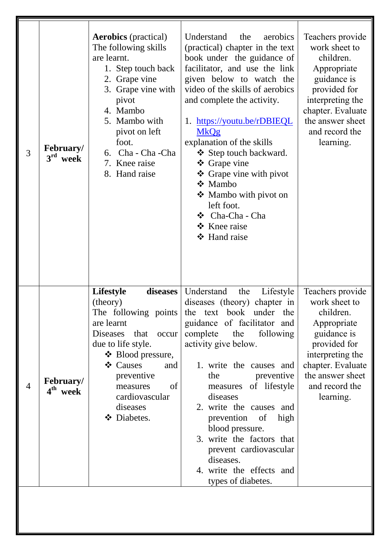| 3              | <b>February/</b><br>$3^{\rm rd}$<br>week | <b>Aerobics</b> (practical)<br>The following skills<br>are learnt.<br>1. Step touch back<br>2. Grape vine<br>3. Grape vine with<br>pivot<br>4. Mambo<br>5. Mambo with<br>pivot on left<br>foot.<br>6. Cha - Cha - Cha<br>7. Knee raise<br>8. Hand raise | Understand<br>the<br>aerobics<br>(practical) chapter in the text<br>book under the guidance of<br>facilitator, and use the link<br>given below to watch the<br>video of the skills of aerobics<br>and complete the activity.<br>1. https://youtu.be/rDBIEQL<br><b>MkQg</b><br>explanation of the skills<br>❖ Step touch backward.<br>❖ Grape vine<br>❖ Grape vine with pivot<br>$\div$ Mambo<br>❖ Mambo with pivot on<br>left foot.<br>❖ Cha-Cha - Cha<br>❖ Knee raise<br>❖ Hand raise | Teachers provide<br>work sheet to<br>children.<br>Appropriate<br>guidance is<br>provided for<br>interpreting the<br>chapter. Evaluate<br>the answer sheet<br>and record the<br>learning. |
|----------------|------------------------------------------|---------------------------------------------------------------------------------------------------------------------------------------------------------------------------------------------------------------------------------------------------------|----------------------------------------------------------------------------------------------------------------------------------------------------------------------------------------------------------------------------------------------------------------------------------------------------------------------------------------------------------------------------------------------------------------------------------------------------------------------------------------|------------------------------------------------------------------------------------------------------------------------------------------------------------------------------------------|
| $\overline{4}$ | <b>February/</b><br>4 <sup>th</sup> week | <b>Lifestyle</b><br>diseases<br>(theory)<br>are learnt<br>Diseases that<br>occur<br>due to life style.<br>$\div$ Blood pressure,<br>❖ Causes<br>and<br>preventive<br>of<br>measures<br>cardiovascular<br>diseases<br>❖ Diabetes.                        | Understand<br>the<br>Lifestyle<br>diseases (theory) chapter in<br>The following points the text book under the<br>guidance of facilitator and<br>complete the following<br>activity give below.<br>1. write the causes and<br>preventive<br>the<br>measures of lifestyle<br>diseases<br>2. write the causes and<br>prevention of<br>high<br>blood pressure.<br>3. write the factors that<br>prevent cardiovascular<br>diseases.<br>4. write the effects and<br>types of diabetes.      | Teachers provide<br>work sheet to<br>children<br>Appropriate<br>guidance is<br>provided for<br>interpreting the<br>chapter. Evaluate<br>the answer sheet<br>and record the<br>learning.  |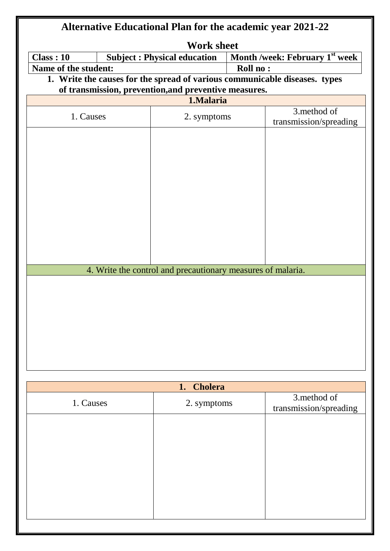| <b>Alternative Educational Plan for the academic year 2021-22</b> |                      |                                                             |                 |                                                                            |
|-------------------------------------------------------------------|----------------------|-------------------------------------------------------------|-----------------|----------------------------------------------------------------------------|
|                                                                   |                      | <b>Work sheet</b>                                           |                 |                                                                            |
| <b>Class: 10</b>                                                  |                      | <b>Subject: Physical education</b>                          |                 | Month /week: February 1 <sup>st</sup> week                                 |
|                                                                   | Name of the student: |                                                             | <b>Roll no:</b> |                                                                            |
|                                                                   |                      |                                                             |                 | 1. Write the causes for the spread of various communicable diseases. types |
|                                                                   |                      | of transmission, prevention, and preventive measures.       |                 |                                                                            |
|                                                                   |                      | 1.Malaria                                                   |                 |                                                                            |
| 1. Causes                                                         |                      | 2. symptoms                                                 |                 | 3.method of                                                                |
|                                                                   |                      |                                                             |                 | transmission/spreading                                                     |
|                                                                   |                      |                                                             |                 |                                                                            |
|                                                                   |                      |                                                             |                 |                                                                            |
|                                                                   |                      |                                                             |                 |                                                                            |
|                                                                   |                      |                                                             |                 |                                                                            |
|                                                                   |                      |                                                             |                 |                                                                            |
|                                                                   |                      |                                                             |                 |                                                                            |
|                                                                   |                      |                                                             |                 |                                                                            |
|                                                                   |                      |                                                             |                 |                                                                            |
|                                                                   |                      |                                                             |                 |                                                                            |
|                                                                   |                      |                                                             |                 |                                                                            |
|                                                                   |                      |                                                             |                 |                                                                            |
|                                                                   |                      |                                                             |                 |                                                                            |
|                                                                   |                      | 4. Write the control and precautionary measures of malaria. |                 |                                                                            |
|                                                                   |                      |                                                             |                 |                                                                            |
|                                                                   |                      |                                                             |                 |                                                                            |
|                                                                   |                      |                                                             |                 |                                                                            |
|                                                                   |                      |                                                             |                 |                                                                            |
|                                                                   |                      |                                                             |                 |                                                                            |
|                                                                   |                      |                                                             |                 |                                                                            |
|                                                                   |                      |                                                             |                 |                                                                            |
|                                                                   |                      |                                                             |                 |                                                                            |
|                                                                   |                      |                                                             |                 |                                                                            |
|                                                                   |                      |                                                             |                 |                                                                            |
|                                                                   |                      | <b>Cholera</b><br>1.                                        |                 |                                                                            |
|                                                                   |                      |                                                             |                 | 3.method of                                                                |
| 1. Causes                                                         |                      | 2. symptoms                                                 |                 | transmission/spreading                                                     |
|                                                                   |                      |                                                             |                 |                                                                            |
|                                                                   |                      |                                                             |                 |                                                                            |
|                                                                   |                      |                                                             |                 |                                                                            |
|                                                                   |                      |                                                             |                 |                                                                            |
|                                                                   |                      |                                                             |                 |                                                                            |
|                                                                   |                      |                                                             |                 |                                                                            |
|                                                                   |                      |                                                             |                 |                                                                            |
|                                                                   |                      |                                                             |                 |                                                                            |
|                                                                   |                      |                                                             |                 |                                                                            |
|                                                                   |                      |                                                             |                 |                                                                            |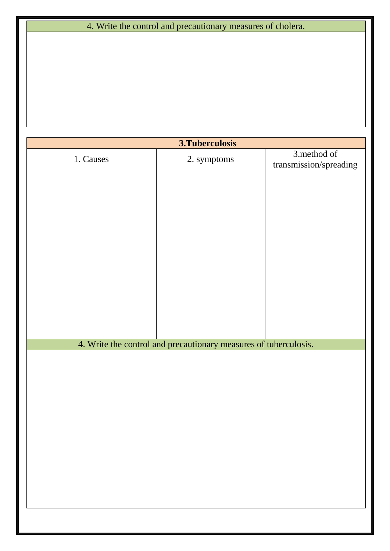## 4. Write the control and precautionary measures of cholera.

|           | 3. Tuberculosis                                                  |                                       |
|-----------|------------------------------------------------------------------|---------------------------------------|
| 1. Causes | 2. symptoms                                                      | 3.method of<br>transmission/spreading |
|           |                                                                  |                                       |
|           |                                                                  |                                       |
|           |                                                                  |                                       |
|           |                                                                  |                                       |
|           |                                                                  |                                       |
|           |                                                                  |                                       |
|           |                                                                  |                                       |
|           |                                                                  |                                       |
|           |                                                                  |                                       |
|           | 4. Write the control and precautionary measures of tuberculosis. |                                       |
|           |                                                                  |                                       |
|           |                                                                  |                                       |
|           |                                                                  |                                       |
|           |                                                                  |                                       |
|           |                                                                  |                                       |
|           |                                                                  |                                       |
|           |                                                                  |                                       |
|           |                                                                  |                                       |
|           |                                                                  |                                       |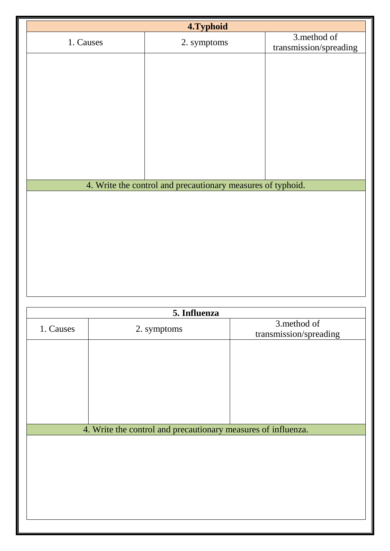|           | 4.Typhoid                                                     |                                       |
|-----------|---------------------------------------------------------------|---------------------------------------|
| 1. Causes | 2. symptoms                                                   | 3.method of<br>transmission/spreading |
|           |                                                               |                                       |
|           |                                                               |                                       |
|           |                                                               |                                       |
|           |                                                               |                                       |
|           |                                                               |                                       |
|           |                                                               |                                       |
|           |                                                               |                                       |
|           |                                                               |                                       |
|           |                                                               |                                       |
|           | 4. Write the control and precautionary measures of typhoid.   |                                       |
|           |                                                               |                                       |
|           |                                                               |                                       |
|           |                                                               |                                       |
|           |                                                               |                                       |
|           |                                                               |                                       |
|           |                                                               |                                       |
|           |                                                               |                                       |
|           | 5. Influenza                                                  |                                       |
|           |                                                               | 3.method of                           |
| 1. Causes | 2. symptoms                                                   | transmission/spreading                |
|           |                                                               |                                       |
|           |                                                               |                                       |
|           |                                                               |                                       |
|           |                                                               |                                       |
|           |                                                               |                                       |
|           | 4. Write the control and precautionary measures of influenza. |                                       |
|           |                                                               |                                       |
|           |                                                               |                                       |
|           |                                                               |                                       |
|           |                                                               |                                       |
|           |                                                               |                                       |
|           |                                                               |                                       |
|           |                                                               |                                       |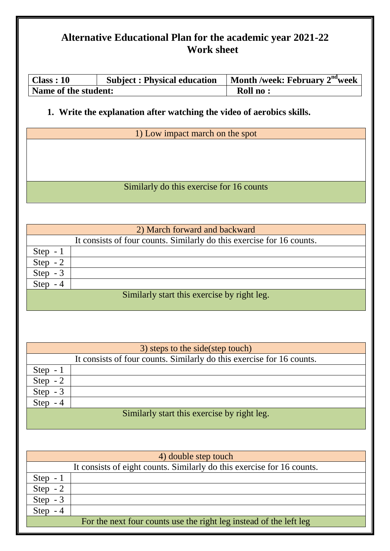## **Alternative Educational Plan for the academic year 2021-22 Work sheet**

| Class: 10            | <b>Subject: Physical education</b> | Month /week: February $2nd$ week |
|----------------------|------------------------------------|----------------------------------|
| Name of the student: |                                    | Roll no:                         |

### **1. Write the explanation after watching the video of aerobics skills.**

1) Low impact march on the spot

Similarly do this exercise for 16 counts

|                                             | 2) March forward and backward                                         |  |
|---------------------------------------------|-----------------------------------------------------------------------|--|
|                                             | It consists of four counts. Similarly do this exercise for 16 counts. |  |
| Step $-1$                                   |                                                                       |  |
| Step                                        |                                                                       |  |
| Step $-3$                                   |                                                                       |  |
| <b>Step</b>                                 |                                                                       |  |
| Similarly start this exercise by right leg. |                                                                       |  |

|                                             | 3) steps to the side (step touch)                                     |  |  |
|---------------------------------------------|-----------------------------------------------------------------------|--|--|
|                                             | It consists of four counts. Similarly do this exercise for 16 counts. |  |  |
| Step $-1$                                   |                                                                       |  |  |
| Step $-2$                                   |                                                                       |  |  |
| <b>Step</b><br>$-3$                         |                                                                       |  |  |
| <b>Step</b><br>- 4                          |                                                                       |  |  |
| Similarly start this exercise by right leg. |                                                                       |  |  |

|           | 4) double step touch                                                   |
|-----------|------------------------------------------------------------------------|
|           | It consists of eight counts. Similarly do this exercise for 16 counts. |
| Step $-1$ |                                                                        |
| Step $-2$ |                                                                        |
| Step $-3$ |                                                                        |
| Step $-4$ |                                                                        |
|           | For the next four counts use the right leg instead of the left leg     |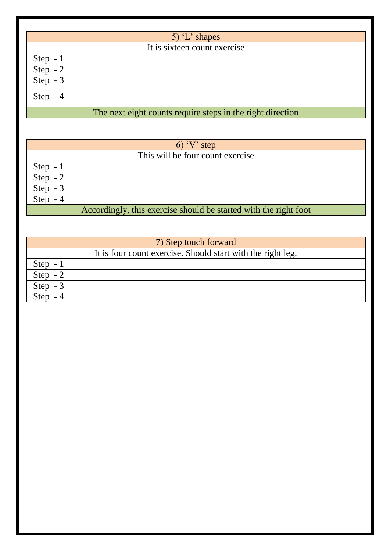|             | 5) $L$ shapes                                              |
|-------------|------------------------------------------------------------|
|             | It is sixteen count exercise                               |
| Step $-1$   |                                                            |
| Step $-2$   |                                                            |
| Step $-3$   |                                                            |
| Step<br>- 4 |                                                            |
|             | The next eight counts require steps in the right direction |

|           | $6)$ 'V' step                                                    |  |  |
|-----------|------------------------------------------------------------------|--|--|
|           | This will be four count exercise                                 |  |  |
| Step $-1$ |                                                                  |  |  |
| Step $-2$ |                                                                  |  |  |
| Step $-3$ |                                                                  |  |  |
| Step      |                                                                  |  |  |
|           | Accordingly, this exercise should be started with the right foot |  |  |

|             | 7) Step touch forward                                       |
|-------------|-------------------------------------------------------------|
|             | It is four count exercise. Should start with the right leg. |
| $Step -$    |                                                             |
| <b>Step</b> |                                                             |
| <b>Step</b> |                                                             |
|             |                                                             |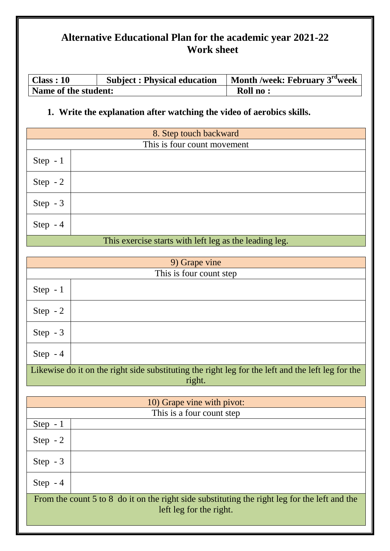## **Alternative Educational Plan for the academic year 2021-22 Work sheet**

| Class: 10            | <b>Subject: Physical education</b> | Month /week: February $3rd$ week |
|----------------------|------------------------------------|----------------------------------|
| Name of the student: |                                    | <b>Roll no:</b>                  |

### **1. Write the explanation after watching the video of aerobics skills.**

| 8. Step touch backward                                  |  |  |
|---------------------------------------------------------|--|--|
| This is four count movement                             |  |  |
| Step $-1$                                               |  |  |
| Step $-2$                                               |  |  |
| Step $-3$                                               |  |  |
| Step $-4$                                               |  |  |
| This exercise starts with left less as the leading less |  |  |

#### This exercise starts with left leg as the leading leg.

| 9) Grape vine                                                                                               |                         |  |
|-------------------------------------------------------------------------------------------------------------|-------------------------|--|
|                                                                                                             | This is four count step |  |
| Step $-1$                                                                                                   |                         |  |
| Step $-2$                                                                                                   |                         |  |
| Step $-3$                                                                                                   |                         |  |
| Step $-4$                                                                                                   |                         |  |
| Likewise do it on the right side substituting the right leg for the left and the left leg for the<br>right. |                         |  |

| 10) Grape vine with pivot:                                                                                               |                           |  |
|--------------------------------------------------------------------------------------------------------------------------|---------------------------|--|
|                                                                                                                          | This is a four count step |  |
| Step $-1$                                                                                                                |                           |  |
| Step $-2$                                                                                                                |                           |  |
| Step $-3$                                                                                                                |                           |  |
| Step $-4$                                                                                                                |                           |  |
| From the count 5 to 8 do it on the right side substituting the right leg for the left and the<br>left leg for the right. |                           |  |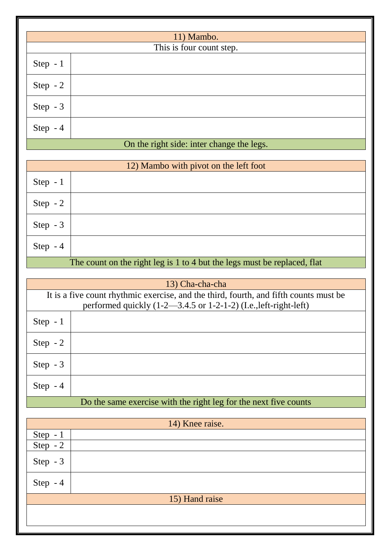|                                           | 11) Mambo.               |  |  |
|-------------------------------------------|--------------------------|--|--|
|                                           | This is four count step. |  |  |
| Step $-1$                                 |                          |  |  |
| Step $-2$                                 |                          |  |  |
| Step $-3$                                 |                          |  |  |
| Step $-4$                                 |                          |  |  |
| On the right side: inter change the legs. |                          |  |  |

| 12) Mambo with pivot on the left foot                                    |  |
|--------------------------------------------------------------------------|--|
| Step $-1$                                                                |  |
| Step $-2$                                                                |  |
| Step $-3$                                                                |  |
| Step $-4$                                                                |  |
| The count on the right leg is 1 to 4 but the legs must be replaced, flat |  |

| 13) Cha-cha-cha                                                  |                                                                                                                                                                      |  |
|------------------------------------------------------------------|----------------------------------------------------------------------------------------------------------------------------------------------------------------------|--|
|                                                                  | It is a five count rhythmic exercise, and the third, fourth, and fifth counts must be<br>performed quickly $(1-2-3.4.5 \text{ or } 1-2-1-2)$ (I.e., left-right-left) |  |
| Step $-1$                                                        |                                                                                                                                                                      |  |
| Step $-2$                                                        |                                                                                                                                                                      |  |
| Step $-3$                                                        |                                                                                                                                                                      |  |
| Step $-4$                                                        |                                                                                                                                                                      |  |
| Do the same exercise with the right leg for the next five counts |                                                                                                                                                                      |  |

| 14) Knee raise.                           |                |
|-------------------------------------------|----------------|
|                                           |                |
| $\frac{\text{Step } -1}{\text{Step } -2}$ |                |
| Step - 3                                  |                |
| Step $-4$                                 |                |
|                                           | 15) Hand raise |
|                                           |                |
|                                           |                |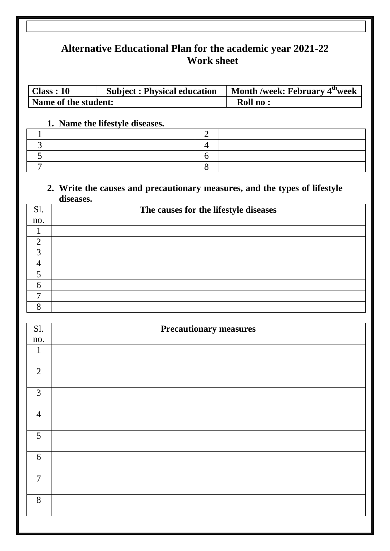# **Alternative Educational Plan for the academic year 2021-22 Work sheet**

| $\vert$ Class : 10   | <b>Subject: Physical education</b> | Month /week: February 4 <sup>th</sup> week |
|----------------------|------------------------------------|--------------------------------------------|
| Name of the student: |                                    | <b>Roll no:</b>                            |

#### **1. Name the lifestyle diseases.**

#### **2. Write the causes and precautionary measures, and the types of lifestyle diseases.**

| Sl. | The causes for the lifestyle diseases |
|-----|---------------------------------------|
| no. |                                       |
|     |                                       |
| ◠   |                                       |
| っ   |                                       |
|     |                                       |
|     |                                       |
| 6   |                                       |
| ┍   |                                       |
|     |                                       |

| S1.            | <b>Precautionary measures</b> |
|----------------|-------------------------------|
| no.            |                               |
| $\mathbf{1}$   |                               |
| 2              |                               |
| $\mathfrak{Z}$ |                               |
| $\overline{4}$ |                               |
| 5              |                               |
| $6\,$          |                               |
| $\overline{7}$ |                               |
| 8              |                               |
|                |                               |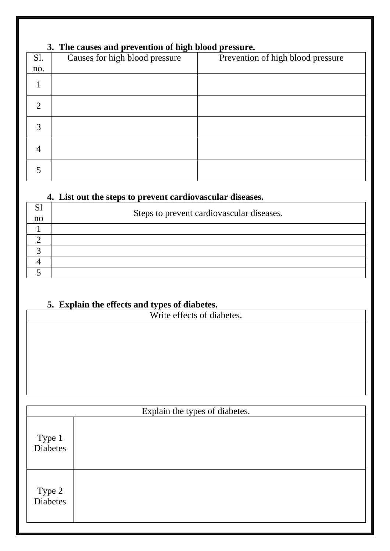## **3. The causes and prevention of high blood pressure.**

| Sl.            | $\bullet$<br>Causes for high blood pressure | Prevention of high blood pressure |
|----------------|---------------------------------------------|-----------------------------------|
| no.            |                                             |                                   |
|                |                                             |                                   |
| $\mathfrak{D}$ |                                             |                                   |
| 3              |                                             |                                   |
| 4              |                                             |                                   |
|                |                                             |                                   |

### **4. List out the steps to prevent cardiovascular diseases.**

| $\mathbf{C}$ | Steps to prevent cardiovascular diseases. |
|--------------|-------------------------------------------|
| no           |                                           |
|              |                                           |
|              |                                           |
|              |                                           |
|              |                                           |
|              |                                           |

### **5. Explain the effects and types of diabetes.**

Write effects of diabetes.

| Explain the types of diabetes. |  |  |
|--------------------------------|--|--|
| Type 1<br>Diabetes             |  |  |
| Type 2<br>Diabetes             |  |  |